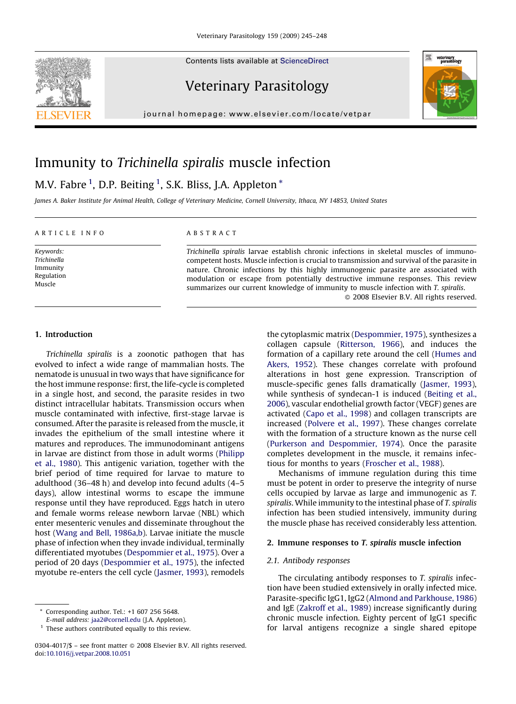Contents lists available at [ScienceDirect](http://www.sciencedirect.com/science/journal/03044017)





Veterinary Parasitology

journal homepage: www.elsevier.com/locate/vetpar

# Immunity to Trichinella spiralis muscle infection

M.V. Fabre  $^1$ , D.P. Beiting  $^1$ , S.K. Bliss, J.A. Appleton  $^\ast$ 

James A. Baker Institute for Animal Health, College of Veterinary Medicine, Cornell University, Ithaca, NY 14853, United States

## ARTICLE INFO

Keywords: Trichinella Immunity Regulation Muscle

## ABSTRACT

Trichinella spiralis larvae establish chronic infections in skeletal muscles of immunocompetent hosts. Muscle infection is crucial to transmission and survival of the parasite in nature. Chronic infections by this highly immunogenic parasite are associated with modulation or escape from potentially destructive immune responses. This review summarizes our current knowledge of immunity to muscle infection with T. spiralis.

 $\odot$  2008 Elsevier B.V. All rights reserved.

## 1. Introduction

Trichinella spiralis is a zoonotic pathogen that has evolved to infect a wide range of mammalian hosts. The nematode is unusual in two ways that have significance for the host immune response: first, the life-cycle is completed in a single host, and second, the parasite resides in two distinct intracellular habitats. Transmission occurs when muscle contaminated with infective, first-stage larvae is consumed. After the parasite is released from the muscle, it invades the epithelium of the small intestine where it matures and reproduces. The immunodominant antigens in larvae are distinct from those in adult worms [\(Philipp](#page-2-0) [et al., 1980](#page-2-0)). This antigenic variation, together with the brief period of time required for larvae to mature to adulthood (36–48 h) and develop into fecund adults (4–5 days), allow intestinal worms to escape the immune response until they have reproduced. Eggs hatch in utero and female worms release newborn larvae (NBL) which enter mesenteric venules and disseminate throughout the host [\(Wang and Bell, 1986a,b](#page-3-0)). Larvae initiate the muscle phase of infection when they invade individual, terminally differentiated myotubes [\(Despommier et al., 1975\)](#page-2-0). Over a period of 20 days ([Despommier et al., 1975](#page-2-0)), the infected myotube re-enters the cell cycle ([Jasmer, 1993](#page-2-0)), remodels

the cytoplasmic matrix [\(Despommier, 1975](#page-2-0)), synthesizes a collagen capsule [\(Ritterson, 1966\)](#page-3-0), and induces the formation of a capillary rete around the cell [\(Humes and](#page-2-0) [Akers, 1952](#page-2-0)). These changes correlate with profound alterations in host gene expression. Transcription of muscle-specific genes falls dramatically ([Jasmer, 1993](#page-2-0)), while synthesis of syndecan-1 is induced [\(Beiting et al.,](#page-2-0) [2006](#page-2-0)), vascular endothelial growth factor (VEGF) genes are activated [\(Capo et al., 1998\)](#page-2-0) and collagen transcripts are increased ([Polvere et al., 1997](#page-2-0)). These changes correlate with the formation of a structure known as the nurse cell [\(Purkerson and Despommier, 1974](#page-2-0)). Once the parasite completes development in the muscle, it remains infectious for months to years ([Froscher et al., 1988](#page-2-0)).

Mechanisms of immune regulation during this time must be potent in order to preserve the integrity of nurse cells occupied by larvae as large and immunogenic as T. spiralis. While immunity to the intestinal phase of T. spiralis infection has been studied intensively, immunity during the muscle phase has received considerably less attention.

## 2. Immune responses to T. spiralis muscle infection

## 2.1. Antibody responses

The circulating antibody responses to T. spiralis infection have been studied extensively in orally infected mice. Parasite-specific IgG1, IgG2 ([Almond and Parkhouse, 1986](#page-2-0)) and IgE [\(Zakroff et al., 1989\)](#page-3-0) increase significantly during chronic muscle infection. Eighty percent of IgG1 specific for larval antigens recognize a single shared epitope

<sup>\*</sup> Corresponding author. Tel.: +1 607 256 5648.

E-mail address: [jaa2@cornell.edu](mailto:jaa2@cornell.edu) (J.A. Appleton).

 $1$  These authors contributed equally to this review.

<sup>0304-4017/\$ –</sup> see front matter © 2008 Elsevier B.V. All rights reserved. doi:[10.1016/j.vetpar.2008.10.051](http://dx.doi.org/10.1016/j.vetpar.2008.10.051)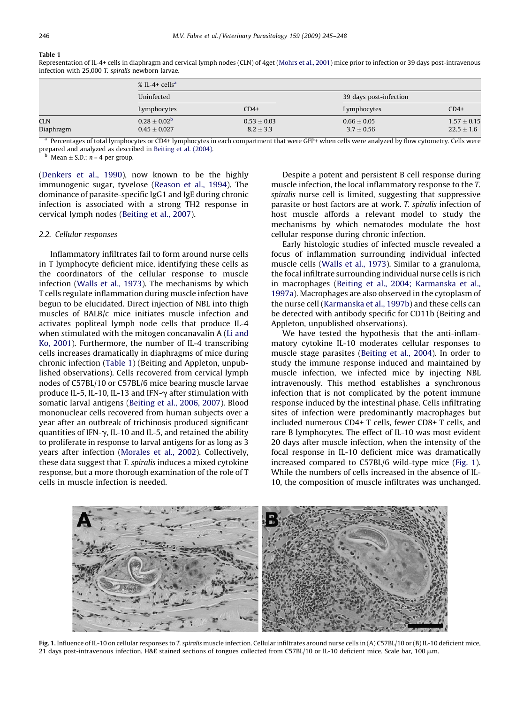## Table 1

Representation of IL-4+ cells in diaphragm and cervical lymph nodes (CLN) of 4get [\(Mohrs et al., 2001\)](#page-2-0) mice prior to infection or 39 days post-intravenous infection with 25,000 T. spiralis newborn larvae.

|                         | $%$ IL-4+ cells <sup>a</sup>                |                                  |                                   |                                   |  |
|-------------------------|---------------------------------------------|----------------------------------|-----------------------------------|-----------------------------------|--|
|                         | Uninfected                                  |                                  | 39 days post-infection            |                                   |  |
|                         | Lymphocytes                                 | $CD4+$                           | Lymphocytes                       | $CD4+$                            |  |
| <b>CLN</b><br>Diaphragm | $0.28 \pm 0.02^{\rm b}$<br>$0.45 \pm 0.027$ | $0.53 \pm 0.03$<br>$8.2 \pm 3.3$ | $0.66 \pm 0.05$<br>$3.7 \pm 0.56$ | $1.57 \pm 0.15$<br>$22.5 \pm 1.6$ |  |

<sup>a</sup> Percentages of total lymphocytes or CD4+ lymphocytes in each compartment that were GFP+ when cells were analyzed by flow cytometry. Cells were prepared and analyzed as described in [Beiting et al. \(2004\).](#page-2-0)

<sup>b</sup> Mean  $\pm$  S.D.; *n* = 4 per group.

[\(Denkers et al., 1990\)](#page-2-0), now known to be the highly immunogenic sugar, tyvelose [\(Reason et al., 1994](#page-2-0)). The dominance of parasite-specific IgG1 and IgE during chronic infection is associated with a strong TH2 response in cervical lymph nodes [\(Beiting et al., 2007\)](#page-2-0).

## 2.2. Cellular responses

Inflammatory infiltrates fail to form around nurse cells in T lymphocyte deficient mice, identifying these cells as the coordinators of the cellular response to muscle infection [\(Walls et al., 1973\)](#page-3-0). The mechanisms by which T cells regulate inflammation during muscle infection have begun to be elucidated. Direct injection of NBL into thigh muscles of BALB/c mice initiates muscle infection and activates popliteal lymph node cells that produce IL-4 when stimulated with the mitogen concanavalin A [\(Li and](#page-2-0) [Ko, 2001\)](#page-2-0). Furthermore, the number of IL-4 transcribing cells increases dramatically in diaphragms of mice during chronic infection (Table 1) (Beiting and Appleton, unpublished observations). Cells recovered from cervical lymph nodes of C57BL/10 or C57BL/6 mice bearing muscle larvae produce IL-5, IL-10, IL-13 and IFN- $\gamma$  after stimulation with somatic larval antigens [\(Beiting et al., 2006, 2007\)](#page-2-0). Blood mononuclear cells recovered from human subjects over a year after an outbreak of trichinosis produced significant quantities of IFN- $\gamma$ , IL-10 and IL-5, and retained the ability to proliferate in response to larval antigens for as long as 3 years after infection ([Morales et al., 2002](#page-2-0)). Collectively, these data suggest that T. spiralis induces a mixed cytokine response, but a more thorough examination of the role of T cells in muscle infection is needed.

Despite a potent and persistent B cell response during muscle infection, the local inflammatory response to the T. spiralis nurse cell is limited, suggesting that suppressive parasite or host factors are at work. T. spiralis infection of host muscle affords a relevant model to study the mechanisms by which nematodes modulate the host cellular response during chronic infection.

Early histologic studies of infected muscle revealed a focus of inflammation surrounding individual infected muscle cells ([Walls et al., 1973\)](#page-3-0). Similar to a granuloma, the focal infiltrate surrounding individual nurse cells is rich in macrophages ([Beiting et al., 2004; Karmanska et al.,](#page-2-0) [1997a\)](#page-2-0). Macrophages are also observed in the cytoplasm of the nurse cell ([Karmanska et al., 1997b](#page-2-0)) and these cells can be detected with antibody specific for CD11b (Beiting and Appleton, unpublished observations).

We have tested the hypothesis that the anti-inflammatory cytokine IL-10 moderates cellular responses to muscle stage parasites [\(Beiting et al., 2004\)](#page-2-0). In order to study the immune response induced and maintained by muscle infection, we infected mice by injecting NBL intravenously. This method establishes a synchronous infection that is not complicated by the potent immune response induced by the intestinal phase. Cells infiltrating sites of infection were predominantly macrophages but included numerous CD4+ T cells, fewer CD8+ T cells, and rare B lymphocytes. The effect of IL-10 was most evident 20 days after muscle infection, when the intensity of the focal response in IL-10 deficient mice was dramatically increased compared to C57BL/6 wild-type mice (Fig. 1). While the numbers of cells increased in the absence of IL-10, the composition of muscle infiltrates was unchanged.



Fig. 1. Influence of IL-10 on cellular responses to T. spiralis muscle infection. Cellular infiltrates around nurse cells in (A) C57BL/10 or (B) IL-10 deficient mice, 21 days post-intravenous infection. H&E stained sections of tongues collected from C57BL/10 or IL-10 deficient mice. Scale bar, 100 µm.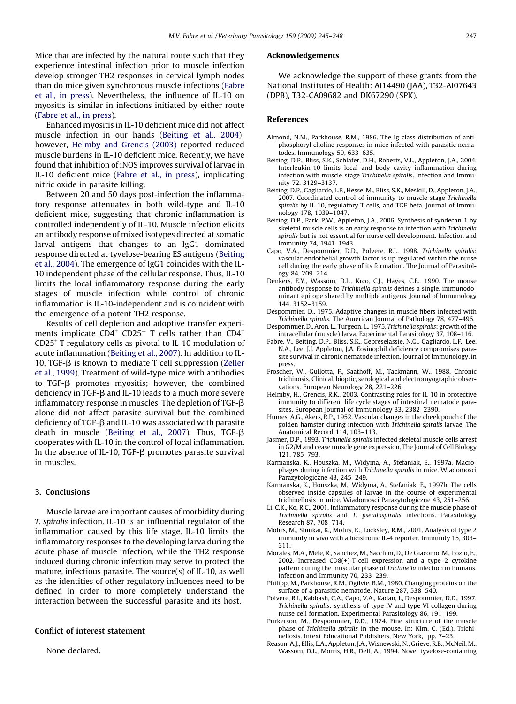<span id="page-2-0"></span>Mice that are infected by the natural route such that they experience intestinal infection prior to muscle infection develop stronger TH2 responses in cervical lymph nodes than do mice given synchronous muscle infections (Fabre et al., in press). Nevertheless, the influence of IL-10 on myositis is similar in infections initiated by either route (Fabre et al., in press).

Enhanced myositis in IL-10 deficient mice did not affect muscle infection in our hands (Beiting et al., 2004); however, Helmby and Grencis (2003) reported reduced muscle burdens in IL-10 deficient mice. Recently, we have found that inhibition of iNOS improves survival of larvae in IL-10 deficient mice (Fabre et al., in press), implicating nitric oxide in parasite killing.

Between 20 and 50 days post-infection the inflammatory response attenuates in both wild-type and IL-10 deficient mice, suggesting that chronic inflammation is controlled independently of IL-10. Muscle infection elicits an antibody response of mixed isotypes directed at somatic larval antigens that changes to an IgG1 dominated response directed at tyvelose-bearing ES antigens (Beiting et al., 2004). The emergence of IgG1 coincides with the IL-10 independent phase of the cellular response. Thus, IL-10 limits the local inflammatory response during the early stages of muscle infection while control of chronic inflammation is IL-10-independent and is coincident with the emergence of a potent TH2 response.

Results of cell depletion and adoptive transfer experiments implicate  $CD4^+$  CD25<sup>-</sup> T cells rather than  $CD4^+$ CD25+ T regulatory cells as pivotal to IL-10 modulation of acute inflammation (Beiting et al., 2007). In addition to IL-10, TGF- $\beta$  is known to mediate T cell suppression [\(Zeller](#page-3-0) [et al., 1999\)](#page-3-0). Treatment of wild-type mice with antibodies to TGF- $\beta$  promotes myositis; however, the combined deficiency in  $TGF-\beta$  and IL-10 leads to a much more severe inflammatory response in muscles. The depletion of TGF- $\beta$ alone did not affect parasite survival but the combined deficiency of TGF- $\beta$  and IL-10 was associated with parasite death in muscle (Beiting et al., 2007). Thus, TGF- $\beta$ cooperates with IL-10 in the control of local inflammation. In the absence of IL-10, TGF- $\beta$  promotes parasite survival in muscles.

## 3. Conclusions

Muscle larvae are important causes of morbidity during T. spiralis infection. IL-10 is an influential regulator of the inflammation caused by this life stage. IL-10 limits the inflammatory responses to the developing larva during the acute phase of muscle infection, while the TH2 response induced during chronic infection may serve to protect the mature, infectious parasite. The source(s) of IL-10, as well as the identities of other regulatory influences need to be defined in order to more completely understand the interaction between the successful parasite and its host.

## Conflict of interest statement

None declared.

## Acknowledgements

We acknowledge the support of these grants from the National Institutes of Health: AI14490 (JAA), T32-AI07643 (DPB), T32-CA09682 and DK67290 (SPK).

## References

- Almond, N.M., Parkhouse, R.M., 1986. The Ig class distribution of antiphosphoryl choline responses in mice infected with parasitic nematodes. Immunology 59, 633–635.
- Beiting, D.P., Bliss, S.K., Schlafer, D.H., Roberts, V.L., Appleton, J.A., 2004. Interleukin-10 limits local and body cavity inflammation during infection with muscle-stage Trichinella spiralis. Infection and Immunity 72, 3129–3137.
- Beiting, D.P., Gagliardo, L.F., Hesse, M., Bliss, S.K., Meskill, D., Appleton, J.A., 2007. Coordinated control of immunity to muscle stage Trichinella spiralis by IL-10, regulatory T cells, and TGF-beta. Journal of Immunology 178, 1039–1047.
- Beiting, D.P., Park, P.W., Appleton, J.A., 2006. Synthesis of syndecan-1 by skeletal muscle cells is an early response to infection with Trichinella spiralis but is not essential for nurse cell development. Infection and Immunity 74, 1941–1943.
- Capo, V.A., Despommier, D.D., Polvere, R.I., 1998. Trichinella spiralis: vascular endothelial growth factor is up-regulated within the nurse cell during the early phase of its formation. The Journal of Parasitology 84, 209–214.
- Denkers, E.Y., Wassom, D.L., Krco, C.J., Hayes, C.E., 1990. The mouse antibody response to Trichinella spiralis defines a single, immunodominant epitope shared by multiple antigens. Journal of Immunology 144, 3152–3159.
- Despommier, D., 1975. Adaptive changes in muscle fibers infected with Trichinella spiralis. The American Journal of Pathology 78, 477–496.
- Despommier, D., Aron, L., Turgeon, L., 1975. Trichinella spiralis: growth of the intracellular (muscle) larva. Experimental Parasitology 37, 108–116.
- Fabre, V., Beiting. D.P., Bliss, S.K., Gebreselassie, N.G., Gagliardo, L.F., Lee, N.A., Lee, J.J. Appleton, J.A. Eosinophil deficiency compromises parasite survival in chronic nematode infection. Journal of Immunology, in press.
- Froscher, W., Gullotta, F., Saathoff, M., Tackmann, W., 1988. Chronic trichinosis. Clinical, bioptic, serological and electromyographic observations. European Neurology 28, 221–226.
- Helmby, H., Grencis, R.K., 2003. Contrasting roles for IL-10 in protective immunity to different life cycle stages of intestinal nematode parasites. European Journal of Immunology 33, 2382–2390.
- Humes, A.G., Akers, R.P., 1952. Vascular changes in the cheek pouch of the golden hamster during infection with Trichinella spiralis larvae. The Anatomical Record 114, 103–113.
- Jasmer, D.P., 1993. Trichinella spiralis infected skeletal muscle cells arrest in G2/M and cease muscle gene expression. The Journal of Cell Biology 121, 785–793.
- Karmanska, K., Houszka, M., Widyma, A., Stefaniak, E., 1997a. Macrophages during infection with Trichinella spiralis in mice. Wiadomosci Parazytologiczne 43, 245–249.
- Karmanska, K., Houszka, M., Widyma, A., Stefaniak, E., 1997b. The cells observed inside capsules of larvae in the course of experimental trichinellosis in mice. Wiadomosci Parazytologiczne 43, 251–256.
- Li, C.K., Ko, R.C., 2001. Inflammatory response during the muscle phase of Trichinella spiralis and T. pseudospiralis infections. Parasitology Research 87, 708–714.
- Mohrs, M., Shinkai, K., Mohrs, K., Locksley, R.M., 2001. Analysis of type 2 immunity in vivo with a bicistronic IL-4 reporter. Immunity 15, 303– 311.
- Morales, M.A., Mele, R., Sanchez, M., Sacchini, D., De Giacomo, M., Pozio, E., 2002. Increased CD8(+)-T-cell expression and a type 2 cytokine pattern during the muscular phase of Trichinella infection in humans. Infection and Immunity 70, 233–239.
- Philipp, M., Parkhouse, R.M., Ogilvie, B.M., 1980. Changing proteins on the surface of a parasitic nematode. Nature 287, 538–540.
- Polvere, R.I., Kabbash, C.A., Capo, V.A., Kadan, I., Despommier, D.D., 1997. Trichinella spiralis: synthesis of type IV and type VI collagen during nurse cell formation. Experimental Parasitology 86, 191–199.
- Purkerson, M., Despommier, D.D., 1974. Fine structure of the muscle phase of Trichinella spiralis in the mouse. In: Kim, C. (Ed.), Trichinellosis. Intext Educational Publishers, New York, pp. 7–23.
- Reason, A.J., Ellis, L.A., Appleton, J.A., Wisnewski, N., Grieve, R.B., McNeil, M., Wassom, D.L., Morris, H.R., Dell, A., 1994. Novel tyvelose-containing